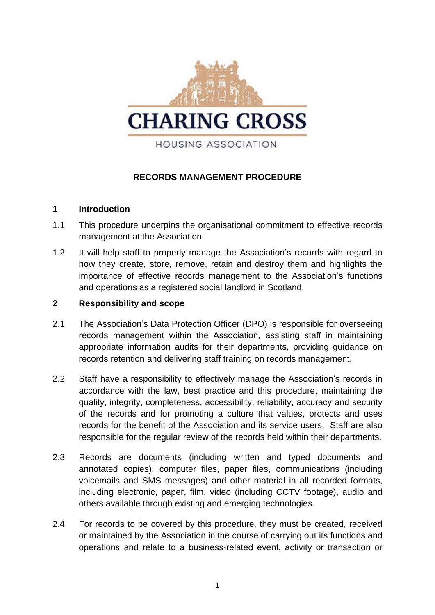

# **RECORDS MANAGEMENT PROCEDURE**

## **1 Introduction**

- 1.1 This procedure underpins the organisational commitment to effective records management at the Association.
- 1.2 It will help staff to properly manage the Association's records with regard to how they create, store, remove, retain and destroy them and highlights the importance of effective records management to the Association's functions and operations as a registered social landlord in Scotland.

# **2 Responsibility and scope**

- 2.1 The Association's Data Protection Officer (DPO) is responsible for overseeing records management within the Association, assisting staff in maintaining appropriate information audits for their departments, providing guidance on records retention and delivering staff training on records management.
- 2.2 Staff have a responsibility to effectively manage the Association's records in accordance with the law, best practice and this procedure, maintaining the quality, integrity, completeness, accessibility, reliability, accuracy and security of the records and for promoting a culture that values, protects and uses records for the benefit of the Association and its service users. Staff are also responsible for the regular review of the records held within their departments.
- 2.3 Records are documents (including written and typed documents and annotated copies), computer files, paper files, communications (including voicemails and SMS messages) and other material in all recorded formats, including electronic, paper, film, video (including CCTV footage), audio and others available through existing and emerging technologies.
- 2.4 For records to be covered by this procedure, they must be created, received or maintained by the Association in the course of carrying out its functions and operations and relate to a business-related event, activity or transaction or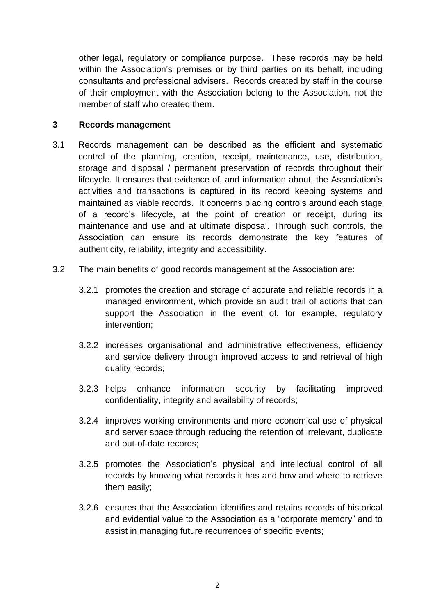other legal, regulatory or compliance purpose. These records may be held within the Association's premises or by third parties on its behalf, including consultants and professional advisers. Records created by staff in the course of their employment with the Association belong to the Association, not the member of staff who created them.

## **3 Records management**

- 3.1 Records management can be described as the efficient and systematic control of the planning, creation, receipt, maintenance, use, distribution, storage and disposal / permanent preservation of records throughout their lifecycle. It ensures that evidence of, and information about, the Association's activities and transactions is captured in its record keeping systems and maintained as viable records. It concerns placing controls around each stage of a record's lifecycle, at the point of creation or receipt, during its maintenance and use and at ultimate disposal. Through such controls, the Association can ensure its records demonstrate the key features of authenticity, reliability, integrity and accessibility.
- 3.2 The main benefits of good records management at the Association are:
	- 3.2.1 promotes the creation and storage of accurate and reliable records in a managed environment, which provide an audit trail of actions that can support the Association in the event of, for example, regulatory intervention;
	- 3.2.2 increases organisational and administrative effectiveness, efficiency and service delivery through improved access to and retrieval of high quality records;
	- 3.2.3 helps enhance information security by facilitating improved confidentiality, integrity and availability of records;
	- 3.2.4 improves working environments and more economical use of physical and server space through reducing the retention of irrelevant, duplicate and out-of-date records;
	- 3.2.5 promotes the Association's physical and intellectual control of all records by knowing what records it has and how and where to retrieve them easily;
	- 3.2.6 ensures that the Association identifies and retains records of historical and evidential value to the Association as a "corporate memory" and to assist in managing future recurrences of specific events;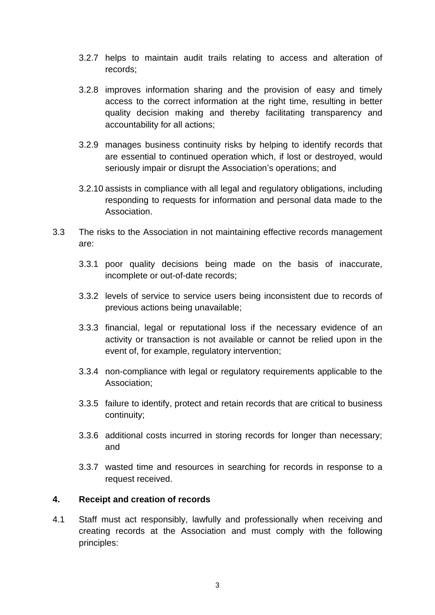- 3.2.7 helps to maintain audit trails relating to access and alteration of records;
- 3.2.8 improves information sharing and the provision of easy and timely access to the correct information at the right time, resulting in better quality decision making and thereby facilitating transparency and accountability for all actions;
- 3.2.9 manages business continuity risks by helping to identify records that are essential to continued operation which, if lost or destroyed, would seriously impair or disrupt the Association's operations; and
- 3.2.10 assists in compliance with all legal and regulatory obligations, including responding to requests for information and personal data made to the Association.
- 3.3 The risks to the Association in not maintaining effective records management are:
	- 3.3.1 poor quality decisions being made on the basis of inaccurate, incomplete or out-of-date records;
	- 3.3.2 levels of service to service users being inconsistent due to records of previous actions being unavailable;
	- 3.3.3 financial, legal or reputational loss if the necessary evidence of an activity or transaction is not available or cannot be relied upon in the event of, for example, regulatory intervention;
	- 3.3.4 non-compliance with legal or regulatory requirements applicable to the Association;
	- 3.3.5 failure to identify, protect and retain records that are critical to business continuity;
	- 3.3.6 additional costs incurred in storing records for longer than necessary; and
	- 3.3.7 wasted time and resources in searching for records in response to a request received.

#### **4. Receipt and creation of records**

4.1 Staff must act responsibly, lawfully and professionally when receiving and creating records at the Association and must comply with the following principles: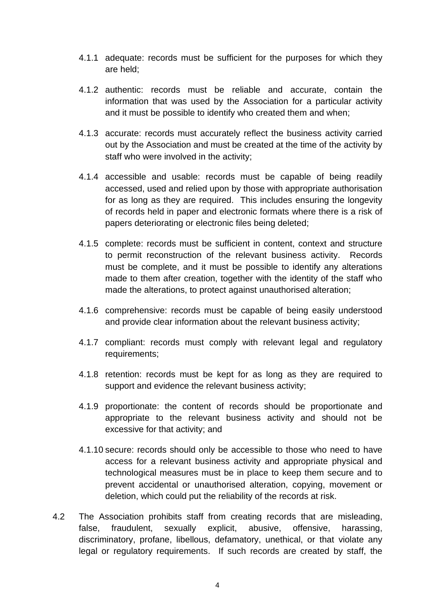- 4.1.1 adequate: records must be sufficient for the purposes for which they are held;
- 4.1.2 authentic: records must be reliable and accurate, contain the information that was used by the Association for a particular activity and it must be possible to identify who created them and when;
- 4.1.3 accurate: records must accurately reflect the business activity carried out by the Association and must be created at the time of the activity by staff who were involved in the activity;
- 4.1.4 accessible and usable: records must be capable of being readily accessed, used and relied upon by those with appropriate authorisation for as long as they are required. This includes ensuring the longevity of records held in paper and electronic formats where there is a risk of papers deteriorating or electronic files being deleted;
- 4.1.5 complete: records must be sufficient in content, context and structure to permit reconstruction of the relevant business activity. Records must be complete, and it must be possible to identify any alterations made to them after creation, together with the identity of the staff who made the alterations, to protect against unauthorised alteration;
- 4.1.6 comprehensive: records must be capable of being easily understood and provide clear information about the relevant business activity;
- 4.1.7 compliant: records must comply with relevant legal and regulatory requirements;
- 4.1.8 retention: records must be kept for as long as they are required to support and evidence the relevant business activity;
- 4.1.9 proportionate: the content of records should be proportionate and appropriate to the relevant business activity and should not be excessive for that activity; and
- 4.1.10 secure: records should only be accessible to those who need to have access for a relevant business activity and appropriate physical and technological measures must be in place to keep them secure and to prevent accidental or unauthorised alteration, copying, movement or deletion, which could put the reliability of the records at risk.
- 4.2 The Association prohibits staff from creating records that are misleading, false, fraudulent, sexually explicit, abusive, offensive, harassing, discriminatory, profane, libellous, defamatory, unethical, or that violate any legal or regulatory requirements. If such records are created by staff, the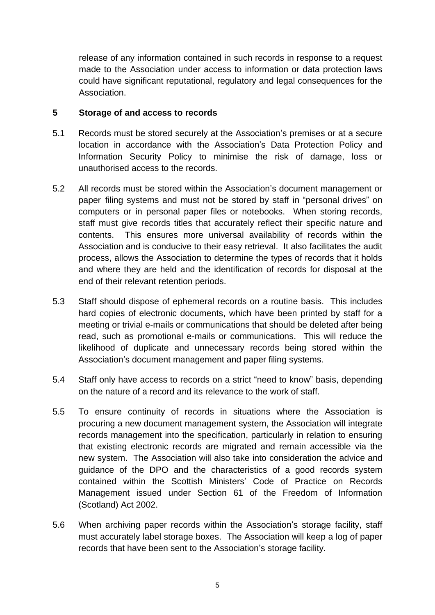release of any information contained in such records in response to a request made to the Association under access to information or data protection laws could have significant reputational, regulatory and legal consequences for the Association.

# **5 Storage of and access to records**

- 5.1 Records must be stored securely at the Association's premises or at a secure location in accordance with the Association's Data Protection Policy and Information Security Policy to minimise the risk of damage, loss or unauthorised access to the records.
- 5.2 All records must be stored within the Association's document management or paper filing systems and must not be stored by staff in "personal drives" on computers or in personal paper files or notebooks. When storing records, staff must give records titles that accurately reflect their specific nature and contents. This ensures more universal availability of records within the Association and is conducive to their easy retrieval. It also facilitates the audit process, allows the Association to determine the types of records that it holds and where they are held and the identification of records for disposal at the end of their relevant retention periods.
- 5.3 Staff should dispose of ephemeral records on a routine basis. This includes hard copies of electronic documents, which have been printed by staff for a meeting or trivial e-mails or communications that should be deleted after being read, such as promotional e-mails or communications. This will reduce the likelihood of duplicate and unnecessary records being stored within the Association's document management and paper filing systems.
- 5.4 Staff only have access to records on a strict "need to know" basis, depending on the nature of a record and its relevance to the work of staff.
- 5.5 To ensure continuity of records in situations where the Association is procuring a new document management system, the Association will integrate records management into the specification, particularly in relation to ensuring that existing electronic records are migrated and remain accessible via the new system. The Association will also take into consideration the advice and guidance of the DPO and the characteristics of a good records system contained within the Scottish Ministers' Code of Practice on Records Management issued under Section 61 of the Freedom of Information (Scotland) Act 2002.
- 5.6 When archiving paper records within the Association's storage facility, staff must accurately label storage boxes. The Association will keep a log of paper records that have been sent to the Association's storage facility.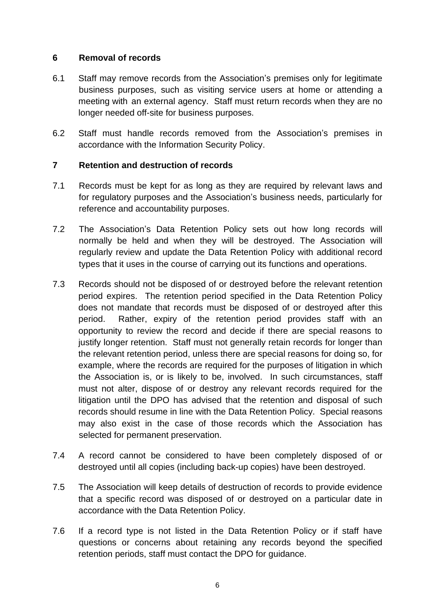## **6 Removal of records**

- 6.1 Staff may remove records from the Association's premises only for legitimate business purposes, such as visiting service users at home or attending a meeting with an external agency. Staff must return records when they are no longer needed off-site for business purposes.
- 6.2 Staff must handle records removed from the Association's premises in accordance with the Information Security Policy.

# **7 Retention and destruction of records**

- 7.1 Records must be kept for as long as they are required by relevant laws and for regulatory purposes and the Association's business needs, particularly for reference and accountability purposes.
- 7.2 The Association's Data Retention Policy sets out how long records will normally be held and when they will be destroyed. The Association will regularly review and update the Data Retention Policy with additional record types that it uses in the course of carrying out its functions and operations.
- 7.3 Records should not be disposed of or destroyed before the relevant retention period expires. The retention period specified in the Data Retention Policy does not mandate that records must be disposed of or destroyed after this period. Rather, expiry of the retention period provides staff with an opportunity to review the record and decide if there are special reasons to justify longer retention. Staff must not generally retain records for longer than the relevant retention period, unless there are special reasons for doing so, for example, where the records are required for the purposes of litigation in which the Association is, or is likely to be, involved. In such circumstances, staff must not alter, dispose of or destroy any relevant records required for the litigation until the DPO has advised that the retention and disposal of such records should resume in line with the Data Retention Policy. Special reasons may also exist in the case of those records which the Association has selected for permanent preservation.
- 7.4 A record cannot be considered to have been completely disposed of or destroyed until all copies (including back-up copies) have been destroyed.
- 7.5 The Association will keep details of destruction of records to provide evidence that a specific record was disposed of or destroyed on a particular date in accordance with the Data Retention Policy.
- 7.6 If a record type is not listed in the Data Retention Policy or if staff have questions or concerns about retaining any records beyond the specified retention periods, staff must contact the DPO for guidance.